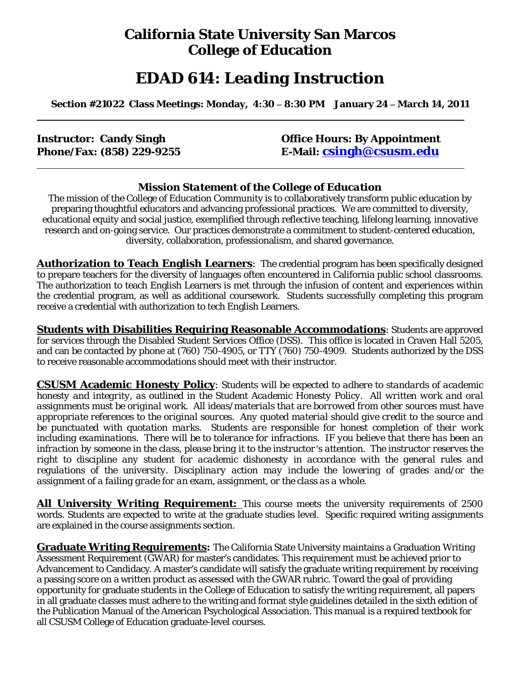## **California State University San Marcos College of Education**

# *EDAD 614: Leading Instruction*

 **Section #21022 Class Meetings: Monday, 4:30 – 8:30 PM January 24 – March 14, 2011** 

 **Instructor: Candy Singh Community Construction: Candy Singh Community Construction: By Appointment Phone/Fax: (858) 229-9255 E-Mail: csingh@csusm.edu**

#### *Mission Statement of the College of Education*

The mission of the College of Education Community is to collaboratively transform public education by preparing thoughtful educators and advancing professional practices. We are committed to diversity, educational equity and social justice, exemplified through reflective teaching, lifelong learning, innovative research and on-going service. Our practices demonstrate a commitment to student-centered education, diversity, collaboration, professionalism, and shared governance.

**Authorization to Teach English Learners**: The credential program has been specifically designed to prepare teachers for the diversity of languages often encountered in California public school classrooms. The authorization to teach English Learners is met through the infusion of content and experiences within the credential program, as well as additional coursework. Students successfully completing this program receive a credential with authorization to tech English Learners.

**Students with Disabilities Requiring Reasonable Accommodations**: Students are approved for services through the Disabled Student Services Office (DSS). This office is located in Craven Hall 5205, and can be contacted by phone at (760) 750-4905, or TTY (760) 750-4909. Students authorized by the DSS to receive reasonable accommodations should meet with their instructor.

**CSUSM Academic Honesty Policy**: *Students will be expected to adhere to standards of academic assignments must be original work. All ideas/materials that are borrowed from other sources must have appropriate references to the original sources. Any quoted material should give credit to the source and honesty and integrity, as outlined in the Student Academic Honesty Policy. All written work and oral be punctuated with quotation marks. Students are responsible for honest completion of their work including examinations. There will be to tolerance for infractions. IF you believe that there has been an infraction by someone in the class, please bring it to the instructor's attention. The instructor reserves the right to discipline any student for academic dishonesty in accordance with the general rules and regulations of the university. Disciplinary action may include the lowering of grades and/or the assignment of a failing grade for an exam, assignment, or the class as a whole.* 

**All University Writing Requirement:** This course meets the university requirements of 2500 words. Students are expected to write at the graduate studies level. Specific required writing assignments are explained in the course assignments section.

**Graduate Writing Requirements:** The California State University maintains a Graduation Writing Assessment Requirement (GWAR) for master's candidates. This requirement must be achieved prior to Advancement to Candidacy. A master's candidate will satisfy the graduate writing requirement by receiving a passing score on a written product as assessed with the GWAR rubric. Toward the goal of providing opportunity for graduate students in the College of Education to satisfy the writing requirement, all papers in all graduate classes must adhere to the writing and format style guidelines detailed in the sixth edition of the Publication Manual of the American Psychological Association. This manual is a required textbook for all CSUSM College of Education graduate-level courses.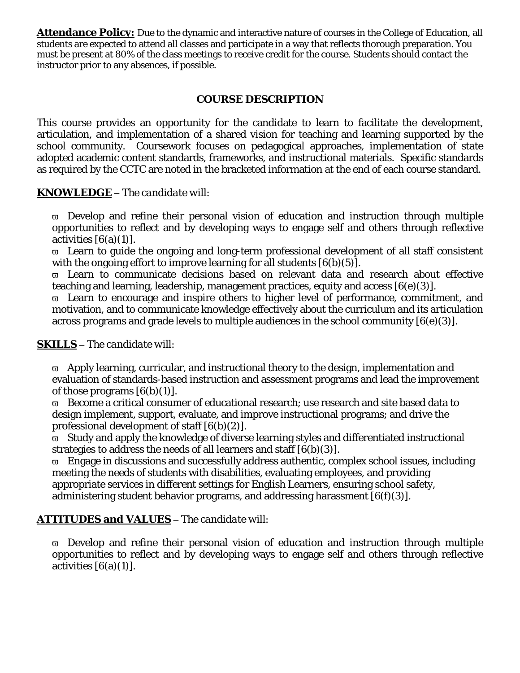**Attendance Policy:** Due to the dynamic and interactive nature of courses in the College of Education, all students are expected to attend all classes and participate in a way that reflects thorough preparation. You must be present at 80% of the class meetings to receive credit for the course. Students should contact the instructor prior to any absences, if possible.

#### **COURSE DESCRIPTION**

This course provides an opportunity for the candidate to learn to facilitate the development, articulation, and implementation of a shared vision for teaching and learning supported by the school community. Coursework focuses on pedagogical approaches, implementation of state adopted academic content standards, frameworks, and instructional materials. Specific standards as required by the CCTC are noted in the bracketed information at the end of each course standard.

#### **KNOWLEDGE** *– The candidate will:*

 $\overline{\omega}$  Develop and refine their personal vision of education and instruction through multiple opportunities to reflect and by developing ways to engage self and others through reflective activities  $[6(a)(1)]$ .

 $\varpi$  Learn to guide the ongoing and long-term professional development of all staff consistent with the ongoing effort to improve learning for all students  $[6(b)(5)]$ .

ϖ Learn to communicate decisions based on relevant data and research about effective teaching and learning, leadership, management practices, equity and access [6(e)(3)].

 $\overline{\omega}$  Learn to encourage and inspire others to higher level of performance, commitment, and motivation, and to communicate knowledge effectively about the curriculum and its articulation across programs and grade levels to multiple audiences in the school community [6(e)(3)].

#### **SKILLS –** *The candidate will:*

 $\varpi$  Apply learning, curricular, and instructional theory to the design, implementation and evaluation of standards-based instruction and assessment programs and lead the improvement of those programs  $[6(b)(1)]$ .

ϖ Become a critical consumer of educational research; use research and site based data to design implement, support, evaluate, and improve instructional programs; and drive the professional development of staff [6(b)(2)].

ϖ Study and apply the knowledge of diverse learning styles and differentiated instructional strategies to address the needs of all learners and staff [6(b)(3)].

 $\overline{\omega}$  Engage in discussions and successfully address authentic, complex school issues, including meeting the needs of students with disabilities, evaluating employees, and providing appropriate services in different settings for English Learners, ensuring school safety, administering student behavior programs, and addressing harassment [6(f)(3)].

#### **ATTITUDES and VALUES –** *The candidate will:*

 $\overline{\omega}$  Develop and refine their personal vision of education and instruction through multiple opportunities to reflect and by developing ways to engage self and others through reflective activities  $[6(a)(1)]$ .